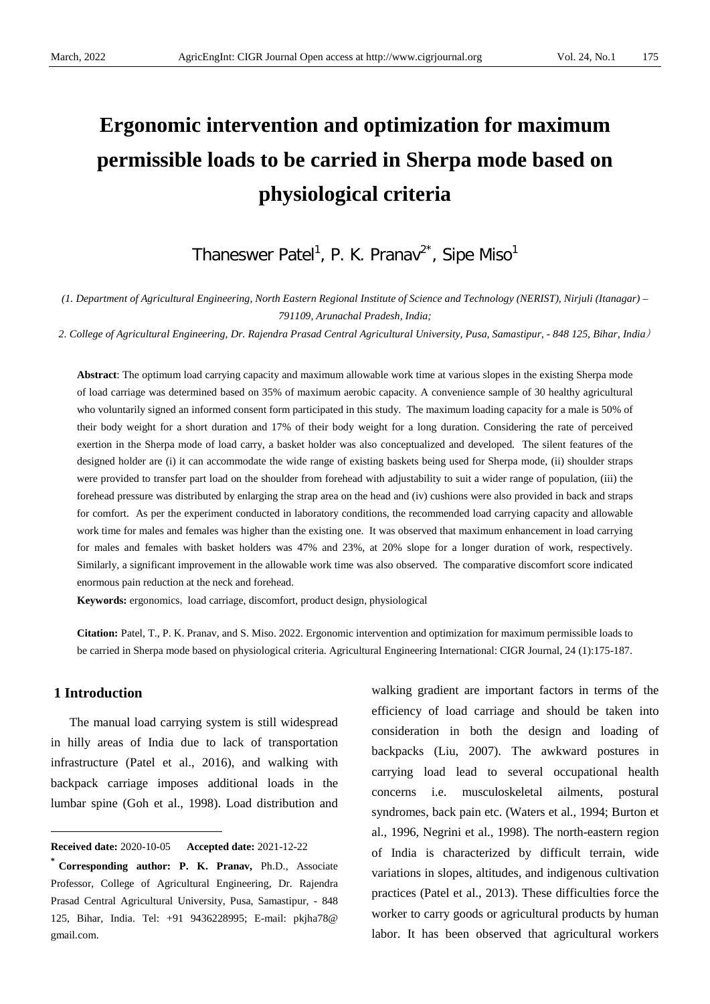# **Ergonomic intervention and optimization for maximum permissible loads to be carried in Sherpa mode based on physiological criteria**

Thaneswer Patel<sup>1</sup>, P. K. Pranav<sup>2\*</sup>, Sipe Miso<sup>1</sup>

*(1. Department of Agricultural Engineering, North Eastern Regional Institute of Science and Technology (NERIST), Nirjuli (Itanagar) – 791109, Arunachal Pradesh, India;*

*2. College of Agricultural Engineering, Dr. Rajendra Prasad Central Agricultural University, Pusa, Samastipur, - 848 125, Bihar, India*)

**Abstract**: The optimum load carrying capacity and maximum allowable work time at various slopes in the existing Sherpa mode of load carriage was determined based on 35% of maximum aerobic capacity. A convenience sample of 30 healthy agricultural who voluntarily signed an informed consent form participated in this study. The maximum loading capacity for a male is 50% of their body weight for a short duration and 17% of their body weight for a long duration. Considering the rate of perceived exertion in the Sherpa mode of load carry, a basket holder was also conceptualized and developed. The silent features of the designed holder are (i) it can accommodate the wide range of existing baskets being used for Sherpa mode, (ii) shoulder straps were provided to transfer part load on the shoulder from forehead with adjustability to suit a wider range of population, (iii) the forehead pressure was distributed by enlarging the strap area on the head and (iv) cushions were also provided in back and straps for comfort. As per the experiment conducted in laboratory conditions, the recommended load carrying capacity and allowable work time for males and females was higher than the existing one. It was observed that maximum enhancement in load carrying for males and females with basket holders was 47% and 23%, at 20% slope for a longer duration of work, respectively. Similarly, a significant improvement in the allowable work time was also observed. The comparative discomfort score indicated enormous pain reduction at the neck and forehead.

**Keywords:** ergonomics, load carriage, discomfort, product design, physiological

**Citation:** Patel, T., P. K. Pranav, and S. Miso. 2022. Ergonomic intervention and optimization for maximum permissible loads to be carried in Sherpa mode based on physiological criteria. Agricultural Engineering International: CIGR Journal, 24 (1):175-187.

# **1 Introduction**

 $\overline{a}$ 

The manual load carrying system is still widespread in hilly areas of India due to lack of transportation infrastructure (Patel et al., 2016), and walking with backpack carriage imposes additional loads in the lumbar spine (Goh et al., 1998). Load distribution and walking gradient are important factors in terms of the efficiency of load carriage and should be taken into consideration in both the design and loading of backpacks (Liu, 2007). The awkward postures in carrying load lead to several occupational health concerns i.e. musculoskeletal ailments, postural syndromes, back pain etc. (Waters et al., 1994; Burton et al., 1996, Negrini et al., 1998). The north-eastern region of India is characterized by difficult terrain, wide variations in slopes, altitudes, and indigenous cultivation practices (Patel et al., 2013). These difficulties force the worker to carry goods or agricultural products by human labor. It has been observed that agricultural workers

<span id="page-0-0"></span>**Received date:** 2020-10-05 **Accepted date:** 2021-12-22

**<sup>\*</sup> Corresponding author: P. K. Pranav,** Ph.D., Associate Professor, College of Agricultural Engineering, Dr. Rajendra Prasad Central Agricultural University, Pusa, Samastipur, - 848 125, Bihar, India. Tel: +91 9436228995; E-mail: pkjha78@ gmail.com.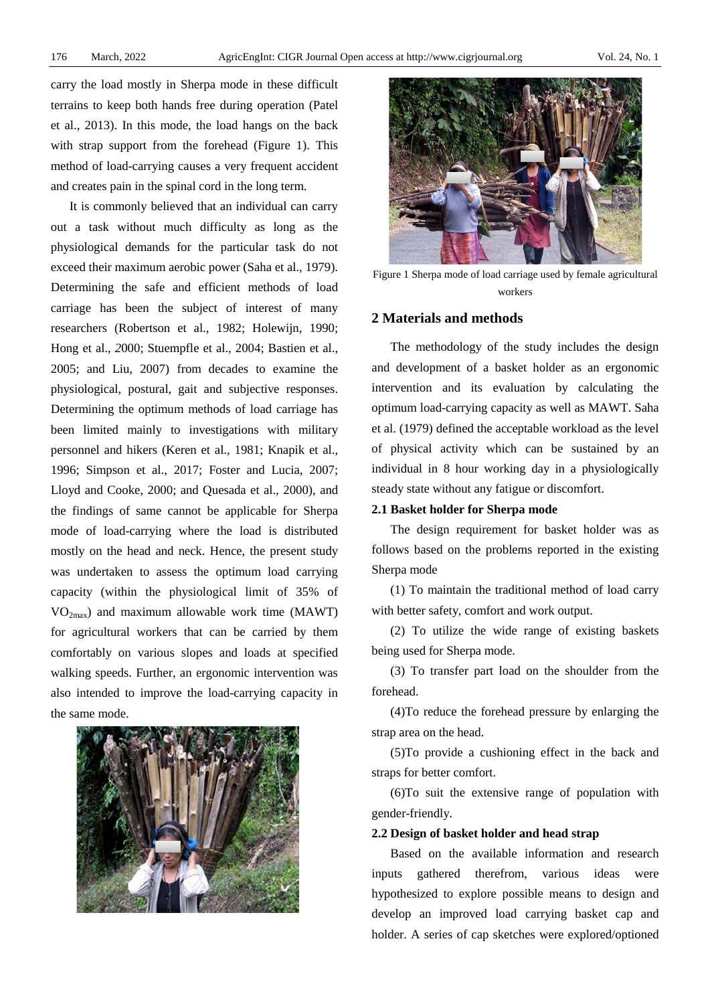carry the load mostly in Sherpa mode in these difficult terrains to keep both hands free during operation (Patel et al., 2013). In this mode, the load hangs on the back with strap support from the forehead (Figure 1). This method of load-carrying causes a very frequent accident and creates pain in the spinal cord in the long term.

It is commonly believed that an individual can carry out a task without much difficulty as long as the physiological demands for the particular task do not exceed their maximum aerobic power (Saha et al., 1979). Determining the safe and efficient methods of load carriage has been the subject of interest of many researchers (Robertson et al., 1982; Holewijn, 1990; Hong et al., *2*000; Stuempfle et al., 2004; Bastien et al., 2005; and Liu, 2007) from decades to examine the physiological, postural, gait and subjective responses. Determining the optimum methods of load carriage has been limited mainly to investigations with military personnel and hikers (Keren et al., 1981; Knapik et al., 1996; Simpson et al., 2017; Foster and Lucia, 2007; Lloyd and Cooke, 2000; and Quesada et al., 2000), and the findings of same cannot be applicable for Sherpa mode of load-carrying where the load is distributed mostly on the head and neck. Hence, the present study was undertaken to assess the optimum load carrying capacity (within the physiological limit of 35% of  $VO<sub>2max</sub>$ ) and maximum allowable work time (MAWT) for agricultural workers that can be carried by them comfortably on various slopes and loads at specified walking speeds. Further, an ergonomic intervention was also intended to improve the load-carrying capacity in the same mode.





Figure 1 Sherpa mode of load carriage used by female agricultural workers

## **2 Materials and methods**

The methodology of the study includes the design and development of a basket holder as an ergonomic intervention and its evaluation by calculating the optimum load-carrying capacity as well as MAWT. Saha et al. (1979) defined the acceptable workload as the level of physical activity which can be sustained by an individual in 8 hour working day in a physiologically steady state without any fatigue or discomfort.

# **2.1 Basket holder for Sherpa mode**

The design requirement for basket holder was as follows based on the problems reported in the existing Sherpa mode

(1) To maintain the traditional method of load carry with better safety, comfort and work output.

(2) To utilize the wide range of existing baskets being used for Sherpa mode.

(3) To transfer part load on the shoulder from the forehead.

(4)To reduce the forehead pressure by enlarging the strap area on the head.

(5)To provide a cushioning effect in the back and straps for better comfort.

(6)To suit the extensive range of population with gender-friendly.

## **2.2 Design of basket holder and head strap**

Based on the available information and research inputs gathered therefrom, various ideas were hypothesized to explore possible means to design and develop an improved load carrying basket cap and holder. A series of cap sketches were explored/optioned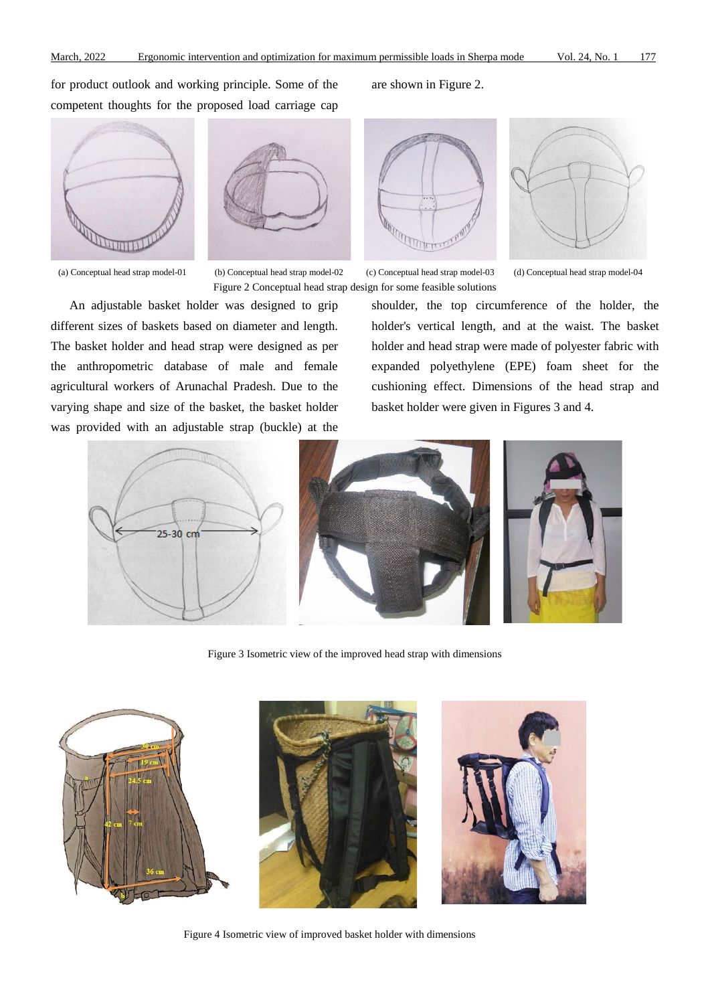for product outlook and working principle. Some of the competent thoughts for the proposed load carriage cap





(a) Conceptual head strap model-01 (b) Conceptual head strap model-02 (c) Conceptual head strap model-03 (d) Conceptual head strap model-04 Figure 2 Conceptual head strap design for some feasible solutions



An adjustable basket holder was designed to grip different sizes of baskets based on diameter and length. The basket holder and head strap were designed as per the anthropometric database of male and female agricultural workers of Arunachal Pradesh. Due to the varying shape and size of the basket, the basket holder was provided with an adjustable strap (buckle) at the

shoulder, the top circumference of the holder, the holder's vertical length, and at the waist. The basket holder and head strap were made of polyester fabric with expanded polyethylene (EPE) foam sheet for the cushioning effect. Dimensions of the head strap and basket holder were given in Figures 3 and 4.







Figure 3 Isometric view of the improved head strap with dimensions



Figure 4 Isometric view of improved basket holder with dimensions

## are shown in Figure 2.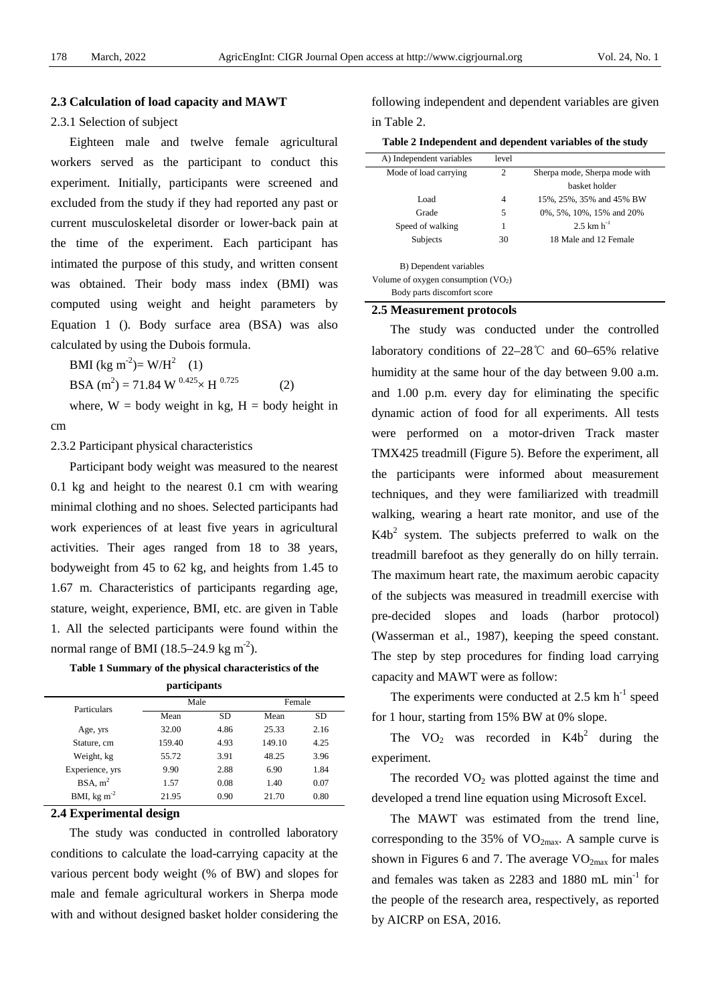# **2.3 Calculation of load capacity and MAWT**

# 2.3.1 Selection of subject

Eighteen male and twelve female agricultural workers served as the participant to conduct this experiment. Initially, participants were screened and excluded from the study if they had reported any past or current musculoskeletal disorder or lower-back pain at the time of the experiment. Each participant has intimated the purpose of this study, and written consent was obtained. Their body mass index (BMI) was computed using weight and height parameters by Equation 1 (). Body surface area (BSA) was also calculated by using the Dubois formula.

BMI (kg m<sup>-2</sup>)= W/H<sup>2</sup> (1) BSA (m<sup>2</sup>) = 71.84 W  $^{0.425} \times$  H  $^{0.725}$  (2) where,  $W = body$  weight in kg,  $H = body$  height in

cm

2.3.2 Participant physical characteristics

Participant body weight was measured to the nearest 0.1 kg and height to the nearest 0.1 cm with wearing minimal clothing and no shoes. Selected participants had work experiences of at least five years in agricultural activities. Their ages ranged from 18 to 38 years, bodyweight from 45 to 62 kg, and heights from 1.45 to 1.67 m. Characteristics of participants regarding age, stature, weight, experience, BMI, etc. are given in Table 1. All the selected participants were found within the normal range of BMI (18.5–24.9 kg m<sup>-2</sup>).

**Table 1 Summary of the physical characteristics of the participants**

| Particulars                | Male   |      |        | Female |  |  |
|----------------------------|--------|------|--------|--------|--|--|
|                            | Mean   | SD   | Mean   | SD     |  |  |
| Age, yrs                   | 32.00  | 4.86 | 25.33  | 2.16   |  |  |
| Stature, cm                | 159.40 | 4.93 | 149.10 | 4.25   |  |  |
| Weight, kg                 | 55.72  | 3.91 | 48.25  | 3.96   |  |  |
| Experience, yrs            | 9.90   | 2.88 | 6.90   | 1.84   |  |  |
| BSA, m <sup>2</sup>        | 1.57   | 0.08 | 1.40   | 0.07   |  |  |
| BMI, $kg \, \text{m}^{-2}$ | 21.95  | 0.90 | 21.70  | 0.80   |  |  |

## **2.4 Experimental design**

The study was conducted in controlled laboratory conditions to calculate the load-carrying capacity at the various percent body weight (% of BW) and slopes for male and female agricultural workers in Sherpa mode with and without designed basket holder considering the following independent and dependent variables are given in Table 2.

#### **Table 2 Independent and dependent variables of the study**

| A) Independent variables             | level          |                               |
|--------------------------------------|----------------|-------------------------------|
| Mode of load carrying                | $\overline{c}$ | Sherpa mode, Sherpa mode with |
|                                      |                | basket holder                 |
| Load                                 | 4              | 15%, 25%, 35% and 45% BW      |
| Grade                                | 5              | 0%, 5%, 10%, 15% and 20%      |
| Speed of walking                     | 1              | 2.5 km $h^{-1}$               |
| Subjects                             | 30             | 18 Male and 12 Female         |
| B) Dependent variables               |                |                               |
| Volume of oxygen consumption $(VO2)$ |                |                               |
| Body parts discomfort score          |                |                               |

#### **2.5 Measurement protocols**

The study was conducted under the controlled laboratory conditions of 22–28℃ and 60–65% relative humidity at the same hour of the day between 9.00 a.m. and 1.00 p.m. every day for eliminating the specific dynamic action of food for all experiments. All tests were performed on a motor-driven Track master TMX425 treadmill (Figure 5). Before the experiment, all the participants were informed about measurement techniques, and they were familiarized with treadmill walking, wearing a heart rate monitor, and use of the  $K4b<sup>2</sup>$  system. The subjects preferred to walk on the treadmill barefoot as they generally do on hilly terrain. The maximum heart rate, the maximum aerobic capacity of the subjects was measured in treadmill exercise with pre-decided slopes and loads (harbor protocol) (Wasserman et al., 1987), keeping the speed constant. The step by step procedures for finding load carrying capacity and MAWT were as follow:

The experiments were conducted at  $2.5 \text{ km h}^{-1}$  speed for 1 hour, starting from 15% BW at 0% slope.

The  $VO_2$  was recorded in  $K4b^2$  during the experiment.

The recorded  $VO<sub>2</sub>$  was plotted against the time and developed a trend line equation using Microsoft Excel.

The MAWT was estimated from the trend line, corresponding to the 35% of  $VO<sub>2max</sub>$ . A sample curve is shown in Figures 6 and 7. The average  $VO<sub>2max</sub>$  for males and females was taken as  $2283$  and  $1880$  mL min<sup>-1</sup> for the people of the research area, respectively, as reported by AICRP on ESA, 2016.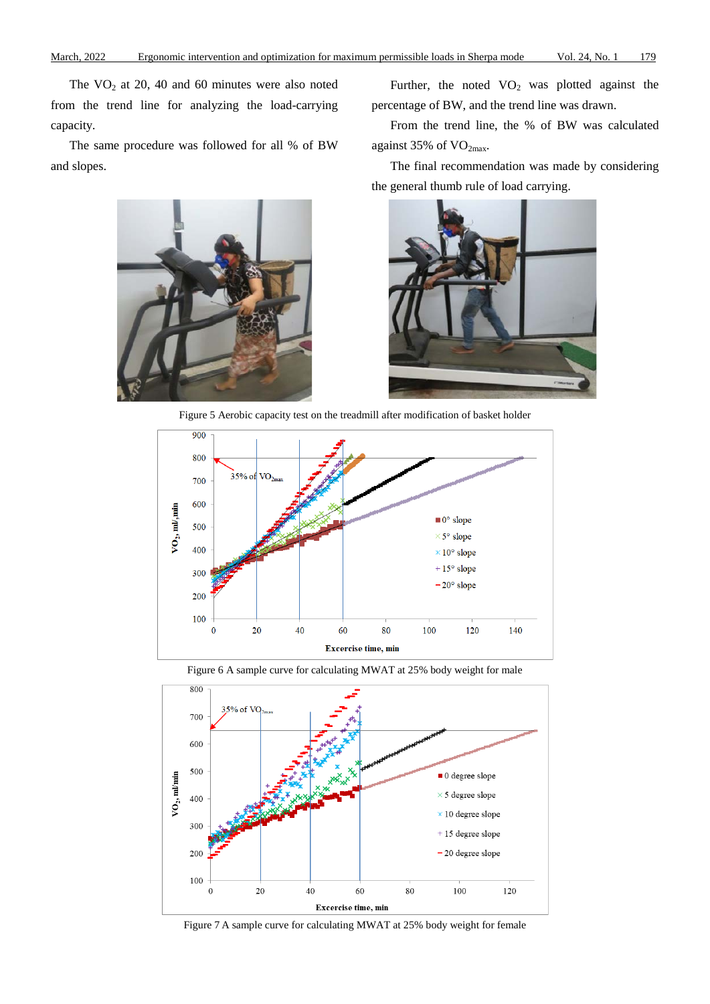The  $VO<sub>2</sub>$  at 20, 40 and 60 minutes were also noted from the trend line for analyzing the load-carrying capacity.

The same procedure was followed for all % of BW and slopes.

Further, the noted  $VO<sub>2</sub>$  was plotted against the percentage of BW, and the trend line was drawn.

From the trend line, the % of BW was calculated against 35% of  $VO<sub>2max</sub>$ .

The final recommendation was made by considering the general thumb rule of load carrying.





Figure 5 Aerobic capacity test on the treadmill after modification of basket holder



Figure 6 A sample curve for calculating MWAT at 25% body weight for male



Figure 7 A sample curve for calculating MWAT at 25% body weight for female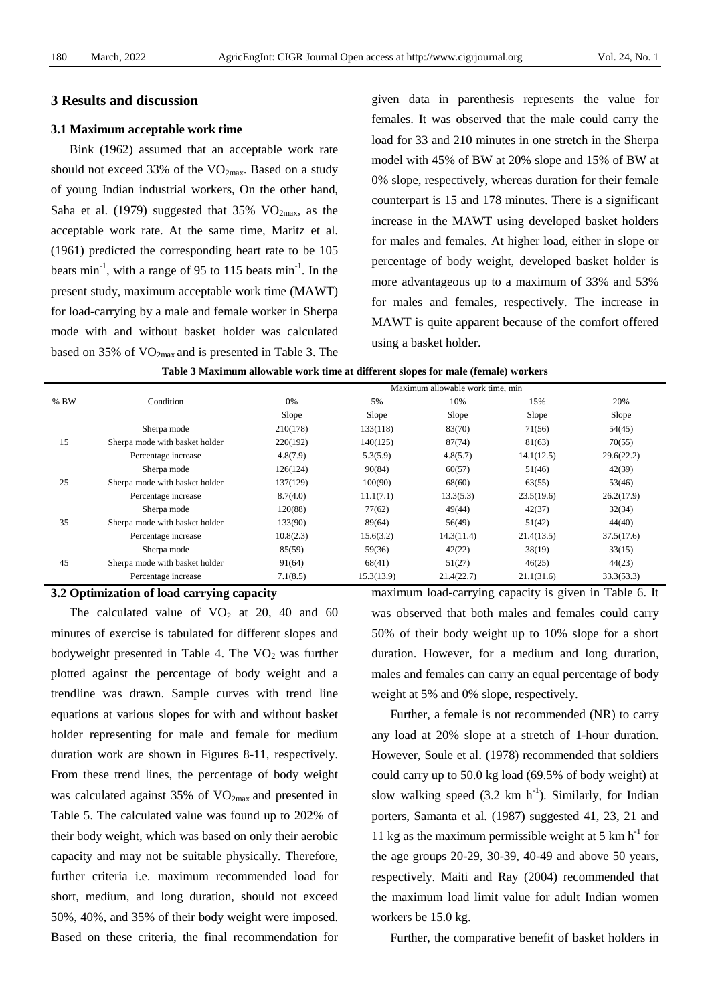# **3 Results and discussion**

# **3.1 Maximum acceptable work time**

Bink (1962) assumed that an acceptable work rate should not exceed 33% of the  $VO<sub>2max</sub>$ . Based on a study of young Indian industrial workers, On the other hand, Saha et al. (1979) suggested that  $35\%$  VO<sub>2max</sub>, as the acceptable work rate. At the same time, Maritz et al. (1961) predicted the corresponding heart rate to be 105 beats  $min^{-1}$ , with a range of 95 to 115 beats  $min^{-1}$ . In the present study, maximum acceptable work time (MAWT) for load-carrying by a male and female worker in Sherpa mode with and without basket holder was calculated based on 35% of  $VO<sub>2max</sub>$  and is presented in Table 3. The

given data in parenthesis represents the value for females. It was observed that the male could carry the load for 33 and 210 minutes in one stretch in the Sherpa model with 45% of BW at 20% slope and 15% of BW at 0% slope, respectively, whereas duration for their female counterpart is 15 and 178 minutes. There is a significant increase in the MAWT using developed basket holders for males and females. At higher load, either in slope or percentage of body weight, developed basket holder is more advantageous up to a maximum of 33% and 53% for males and females, respectively. The increase in MAWT is quite apparent because of the comfort offered using a basket holder.

|      |                                | Maximum allowable work time, min |            |            |            |            |  |  |
|------|--------------------------------|----------------------------------|------------|------------|------------|------------|--|--|
| % BW | Condition                      | 0%                               | 5%         | 10%        | 15%        | 20%        |  |  |
|      |                                | Slope                            | Slope      | Slope      | Slope      | Slope      |  |  |
|      | Sherpa mode                    | 210(178)                         | 133(118)   | 83(70)     | 71(56)     | 54(45)     |  |  |
| 15   | Sherpa mode with basket holder | 220(192)                         | 140(125)   | 87(74)     | 81(63)     | 70(55)     |  |  |
|      | Percentage increase            | 4.8(7.9)                         | 5.3(5.9)   | 4.8(5.7)   | 14.1(12.5) | 29.6(22.2) |  |  |
|      | Sherpa mode                    | 126(124)                         | 90(84)     | 60(57)     | 51(46)     | 42(39)     |  |  |
| 25   | Sherpa mode with basket holder | 137(129)                         | 100(90)    | 68(60)     | 63(55)     | 53(46)     |  |  |
|      | Percentage increase            | 8.7(4.0)                         | 11.1(7.1)  | 13.3(5.3)  | 23.5(19.6) | 26.2(17.9) |  |  |
|      | Sherpa mode                    | 120(88)                          | 77(62)     | 49(44)     | 42(37)     | 32(34)     |  |  |
| 35   | Sherpa mode with basket holder | 133(90)                          | 89(64)     | 56(49)     | 51(42)     | 44(40)     |  |  |
|      | Percentage increase            | 10.8(2.3)                        | 15.6(3.2)  | 14.3(11.4) | 21.4(13.5) | 37.5(17.6) |  |  |
|      | Sherpa mode                    | 85(59)                           | 59(36)     | 42(22)     | 38(19)     | 33(15)     |  |  |
| 45   | Sherpa mode with basket holder | 91(64)                           | 68(41)     | 51(27)     | 46(25)     | 44(23)     |  |  |
|      | Percentage increase            | 7.1(8.5)                         | 15.3(13.9) | 21.4(22.7) | 21.1(31.6) | 33.3(53.3) |  |  |

| Table 3 Maximum allowable work time at different slopes for male (female) workers |  |  |
|-----------------------------------------------------------------------------------|--|--|
|-----------------------------------------------------------------------------------|--|--|

# **3.2 Optimization of load carrying capacity**

The calculated value of  $VO<sub>2</sub>$  at 20, 40 and 60 minutes of exercise is tabulated for different slopes and bodyweight presented in Table 4. The  $VO<sub>2</sub>$  was further plotted against the percentage of body weight and a trendline was drawn. Sample curves with trend line equations at various slopes for with and without basket holder representing for male and female for medium duration work are shown in Figures 8-11, respectively. From these trend lines, the percentage of body weight was calculated against  $35\%$  of VO<sub>2max</sub> and presented in Table 5. The calculated value was found up to 202% of their body weight, which was based on only their aerobic capacity and may not be suitable physically. Therefore, further criteria i.e. maximum recommended load for short, medium, and long duration, should not exceed 50%, 40%, and 35% of their body weight were imposed. Based on these criteria, the final recommendation for maximum load-carrying capacity is given in Table 6. It was observed that both males and females could carry 50% of their body weight up to 10% slope for a short duration. However, for a medium and long duration, males and females can carry an equal percentage of body weight at 5% and 0% slope, respectively.

Further, a female is not recommended (NR) to carry any load at 20% slope at a stretch of 1-hour duration. However, Soule et al. (1978) recommended that soldiers could carry up to 50.0 kg load (69.5% of body weight) at slow walking speed  $(3.2 \text{ km h}^{-1})$ . Similarly, for Indian porters, Samanta et al. (1987) suggested 41, 23, 21 and 11 kg as the maximum permissible weight at 5 km  $h^{-1}$  for the age groups 20-29, 30-39, 40-49 and above 50 years, respectively. Maiti and Ray (2004) recommended that the maximum load limit value for adult Indian women workers be 15.0 kg.

Further, the comparative benefit of basket holders in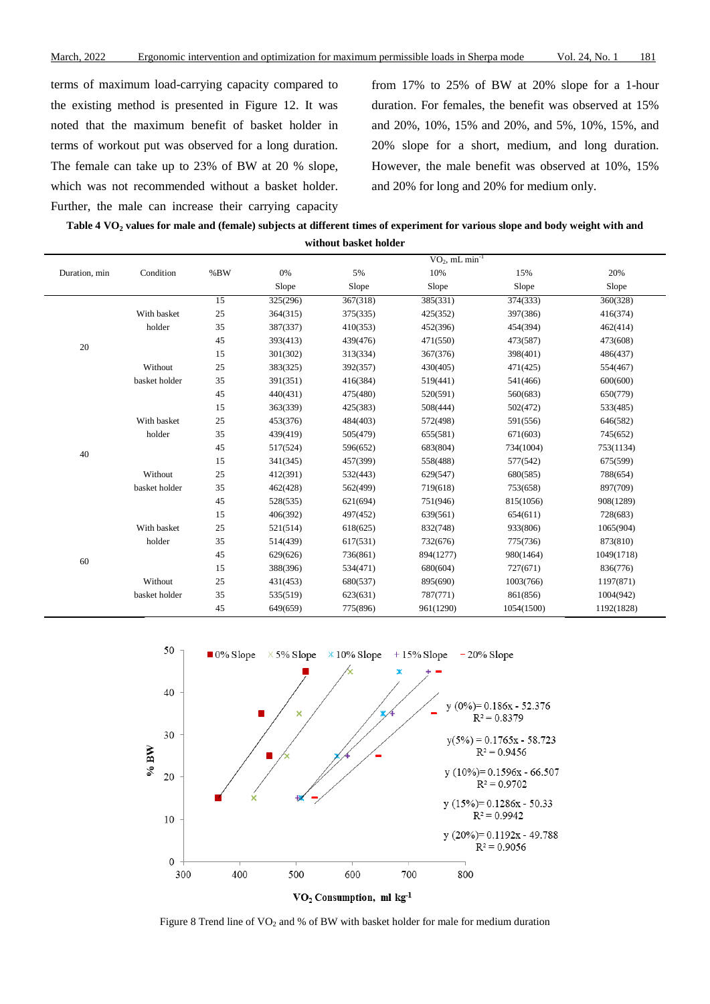terms of maximum load-carrying capacity compared to the existing method is presented in Figure 12. It was noted that the maximum benefit of basket holder in terms of workout put was observed for a long duration. The female can take up to 23% of BW at 20 % slope, which was not recommended without a basket holder. Further, the male can increase their carrying capacity

from 17% to 25% of BW at 20% slope for a 1-hour duration. For females, the benefit was observed at 15% and 20%, 10%, 15% and 20%, and 5%, 10%, 15%, and 20% slope for a short, medium, and long duration. However, the male benefit was observed at 10%, 15% and 20% for long and 20% for medium only.

| Table 4 VO, values for male and (female) subjects at different times of experiment for various slope and body weight with and |
|-------------------------------------------------------------------------------------------------------------------------------|
| without basket holder                                                                                                         |

|               |               |                 | $VO_2$ , mL min <sup>-1</sup> |          |           |            |            |
|---------------|---------------|-----------------|-------------------------------|----------|-----------|------------|------------|
| Duration, min | Condition     | %BW             | 0%                            | 5%       | 10%       | 15%        | 20%        |
|               |               |                 | Slope                         | Slope    | Slope     | Slope      | Slope      |
|               |               | $\overline{15}$ | 325(296)                      | 367(318) | 385(331)  | 374(333)   | 360(328)   |
|               | With basket   | 25              | 364(315)                      | 375(335) | 425(352)  | 397(386)   | 416(374)   |
|               | holder        | 35              | 387(337)                      | 410(353) | 452(396)  | 454(394)   | 462(414)   |
| 20            |               | 45              | 393(413)                      | 439(476) | 471(550)  | 473(587)   | 473(608)   |
|               |               | 15              | 301(302)                      | 313(334) | 367(376)  | 398(401)   | 486(437)   |
|               | Without       | 25              | 383(325)                      | 392(357) | 430(405)  | 471(425)   | 554(467)   |
|               | basket holder | 35              | 391(351)                      | 416(384) | 519(441)  | 541(466)   | 600(600)   |
|               |               | 45              | 440(431)                      | 475(480) | 520(591)  | 560(683)   | 650(779)   |
|               |               | 15              | 363(339)                      | 425(383) | 508(444)  | 502(472)   | 533(485)   |
|               | With basket   | 25              | 453(376)                      | 484(403) | 572(498)  | 591(556)   | 646(582)   |
|               | holder        | 35              | 439(419)                      | 505(479) | 655(581)  | 671(603)   | 745(652)   |
|               |               | 45              | 517(524)                      | 596(652) | 683(804)  | 734(1004)  | 753(1134)  |
| 40            |               | 15              | 341(345)                      | 457(399) | 558(488)  | 577(542)   | 675(599)   |
|               | Without       | 25              | 412(391)                      | 532(443) | 629(547)  | 680(585)   | 788(654)   |
|               | basket holder | 35              | 462(428)                      | 562(499) | 719(618)  | 753(658)   | 897(709)   |
|               |               | 45              | 528(535)                      | 621(694) | 751(946)  | 815(1056)  | 908(1289)  |
|               |               | 15              | 406(392)                      | 497(452) | 639(561)  | 654(611)   | 728(683)   |
|               | With basket   | 25              | 521(514)                      | 618(625) | 832(748)  | 933(806)   | 1065(904)  |
|               | holder        | 35              | 514(439)                      | 617(531) | 732(676)  | 775(736)   | 873(810)   |
|               |               | 45              | 629(626)                      | 736(861) | 894(1277) | 980(1464)  | 1049(1718) |
| 60            |               | 15              | 388(396)                      | 534(471) | 680(604)  | 727(671)   | 836(776)   |
|               | Without       | 25              | 431(453)                      | 680(537) | 895(690)  | 1003(766)  | 1197(871)  |
|               | basket holder | 35              | 535(519)                      | 623(631) | 787(771)  | 861(856)   | 1004(942)  |
|               |               | 45              | 649(659)                      | 775(896) | 961(1290) | 1054(1500) | 1192(1828) |



Figure 8 Trend line of  $VO_2$  and % of BW with basket holder for male for medium duration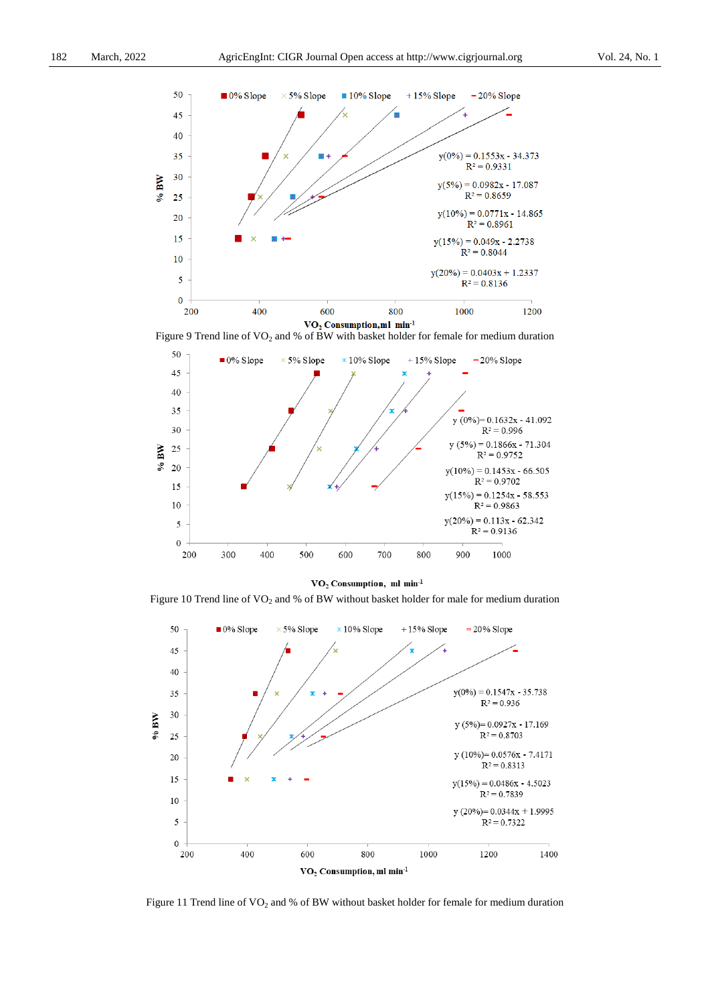

Figure 9 Trend line of  $VO_2$  and % of BW with basket holder for female for medium duration



 $\rm VO_{2}$  Consumption, ml min<sup>-1</sup>

Figure 10 Trend line of  $VO_2$  and % of BW without basket holder for male for medium duration



Figure 11 Trend line of  $VO<sub>2</sub>$  and % of BW without basket holder for female for medium duration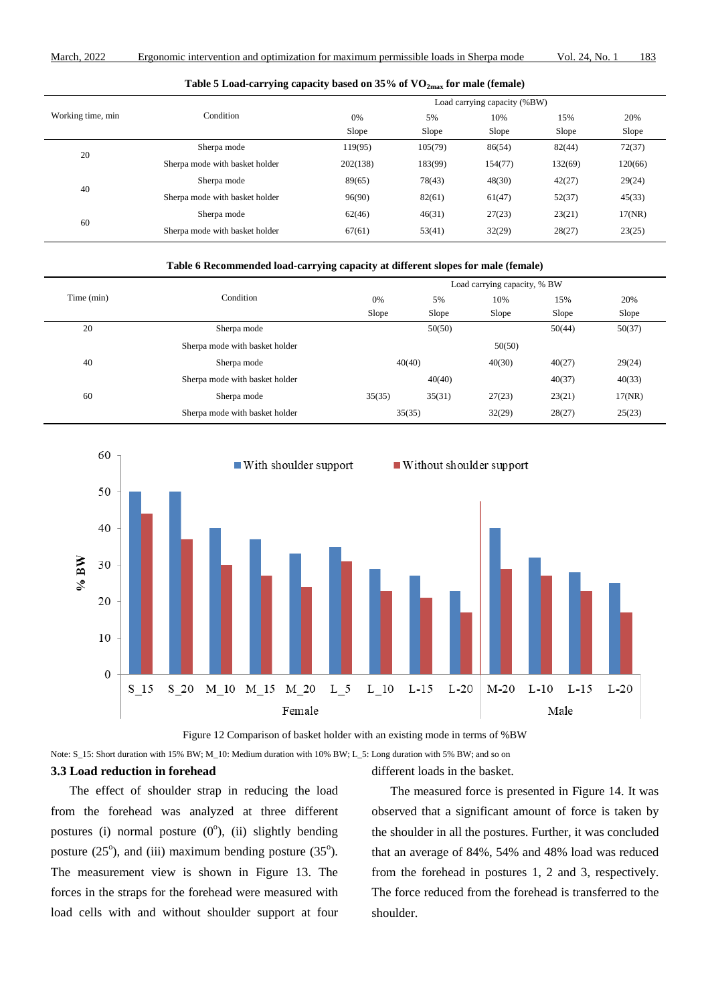| Table 5 Load-carrying capacity based on $35\%$ of $\rm VO_{2max}$ for male (female) |  |  |
|-------------------------------------------------------------------------------------|--|--|
|-------------------------------------------------------------------------------------|--|--|

|                   |                                | Load carrying capacity (%BW) |         |         |         |         |  |
|-------------------|--------------------------------|------------------------------|---------|---------|---------|---------|--|
| Working time, min | Condition                      | 0%                           | 5%      | 10%     | 15%     | 20%     |  |
|                   |                                | Slope                        | Slope   | Slope   | Slope   | Slope   |  |
| 20                | Sherpa mode                    | 119(95)                      | 105(79) | 86(54)  | 82(44)  | 72(37)  |  |
|                   | Sherpa mode with basket holder | 202(138)                     | 183(99) | 154(77) | 132(69) | 120(66) |  |
| 40                | Sherpa mode                    | 89(65)                       | 78(43)  | 48(30)  | 42(27)  | 29(24)  |  |
|                   | Sherpa mode with basket holder | 96(90)                       | 82(61)  | 61(47)  | 52(37)  | 45(33)  |  |
| 60                | Sherpa mode                    | 62(46)                       | 46(31)  | 27(23)  | 23(21)  | 17(NR)  |  |
|                   | Sherpa mode with basket holder | 67(61)                       | 53(41)  | 32(29)  | 28(27)  | 23(25)  |  |

**Table 6 Recommended load-carrying capacity at different slopes for male (female)**

|            |                                | Load carrying capacity, % BW |        |        |        |        |  |
|------------|--------------------------------|------------------------------|--------|--------|--------|--------|--|
| Time (min) | Condition                      | 0%                           | 5%     | 10%    | 15%    | 20%    |  |
|            |                                | Slope                        | Slope  | Slope  | Slope  | Slope  |  |
| 20         | Sherpa mode                    |                              | 50(50) |        | 50(44) | 50(37) |  |
|            | Sherpa mode with basket holder |                              |        | 50(50) |        |        |  |
| 40         | Sherpa mode                    | 40(40)                       |        | 40(30) | 40(27) | 29(24) |  |
|            | Sherpa mode with basket holder |                              | 40(40) |        | 40(37) | 40(33) |  |
| 60         | Sherpa mode                    | 35(35)                       | 35(31) | 27(23) | 23(21) | 17(NR) |  |
|            | Sherpa mode with basket holder | 35(35)                       |        | 32(29) | 28(27) | 25(23) |  |





Note: S\_15: Short duration with 15% BW; M\_10: Medium duration with 10% BW; L\_5: Long duration with 5% BW; and so on

# **3.3 Load reduction in forehead**

The effect of shoulder strap in reducing the load from the forehead was analyzed at three different postures (i) normal posture  $(0^{\circ})$ , (ii) slightly bending posture  $(25^{\circ})$ , and (iii) maximum bending posture  $(35^{\circ})$ . The measurement view is shown in Figure 13. The forces in the straps for the forehead were measured with load cells with and without shoulder support at four

The measured force is presented in Figure 14. It was observed that a significant amount of force is taken by the shoulder in all the postures. Further, it was concluded that an average of 84%, 54% and 48% load was reduced from the forehead in postures 1, 2 and 3, respectively. The force reduced from the forehead is transferred to the shoulder.

different loads in the basket.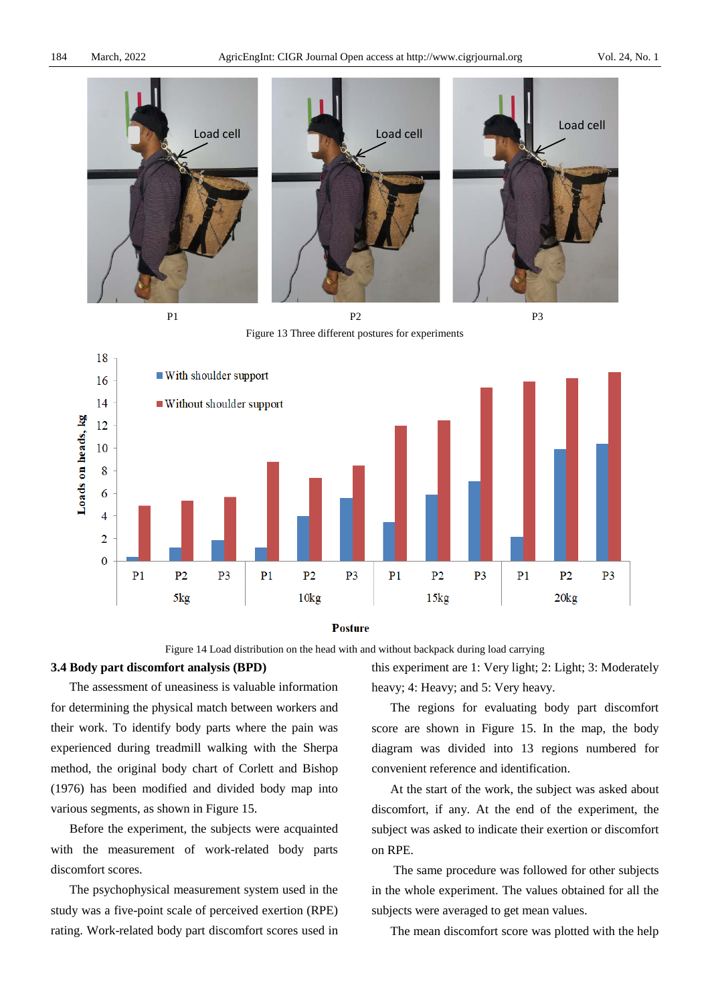

 $P1$  P2 P3

Figure 13 Three different postures for experiments





Figure 14 Load distribution on the head with and without backpack during load carrying

#### **3.4 Body part discomfort analysis (BPD)**

The assessment of uneasiness is valuable information for determining the physical match between workers and their work. To identify body parts where the pain was experienced during treadmill walking with the Sherpa method, the original body chart of Corlett and Bishop (1976) has been modified and divided body map into various segments, as shown in Figure 15.

Before the experiment, the subjects were acquainted with the measurement of work-related body parts discomfort scores.

The psychophysical measurement system used in the study was a five-point scale of perceived exertion (RPE) rating. Work-related body part discomfort scores used in

this experiment are 1: Very light; 2: Light; 3: Moderately heavy; 4: Heavy; and 5: Very heavy.

The regions for evaluating body part discomfort score are shown in Figure 15. In the map, the body diagram was divided into 13 regions numbered for convenient reference and identification.

At the start of the work, the subject was asked about discomfort, if any. At the end of the experiment, the subject was asked to indicate their exertion or discomfort on RPE.

The same procedure was followed for other subjects in the whole experiment. The values obtained for all the subjects were averaged to get mean values.

The mean discomfort score was plotted with the help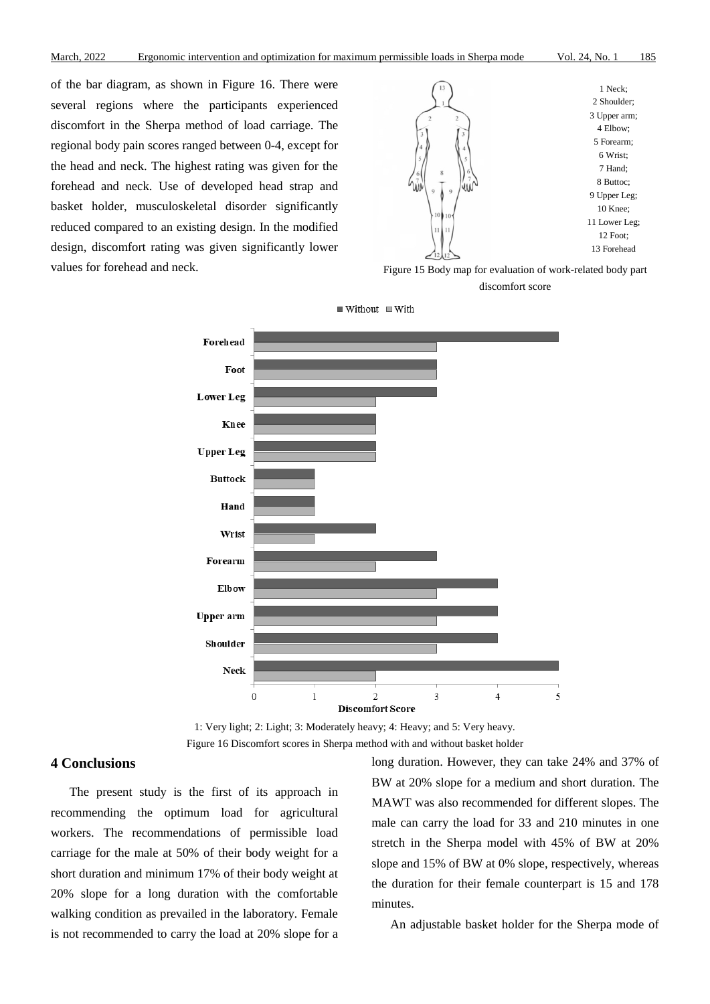of the bar diagram, as shown in Figure 16. There were several regions where the participants experienced discomfort in the Sherpa method of load carriage. The regional body pain scores ranged between 0-4, except for the head and neck. The highest rating was given for the forehead and neck. Use of developed head strap and basket holder, musculoskeletal disorder significantly reduced compared to an existing design. In the modified design, discomfort rating was given significantly lower values for forehead and neck. Figure 15 Body map for evaluation of work-related body part



discomfort score



 $\blacksquare$  Without  $\blacksquare$  With

# **4 Conclusions**

The present study is the first of its approach in recommending the optimum load for agricultural workers. The recommendations of permissible load carriage for the male at 50% of their body weight for a short duration and minimum 17% of their body weight at 20% slope for a long duration with the comfortable walking condition as prevailed in the laboratory. Female is not recommended to carry the load at 20% slope for a

long duration. However, they can take 24% and 37% of BW at 20% slope for a medium and short duration. The MAWT was also recommended for different slopes. The male can carry the load for 33 and 210 minutes in one stretch in the Sherpa model with 45% of BW at 20% slope and 15% of BW at 0% slope, respectively, whereas the duration for their female counterpart is 15 and 178 minutes.

An adjustable basket holder for the Sherpa mode of

<sup>1:</sup> Very light; 2: Light; 3: Moderately heavy; 4: Heavy; and 5: Very heavy. Figure 16 Discomfort scores in Sherpa method with and without basket holder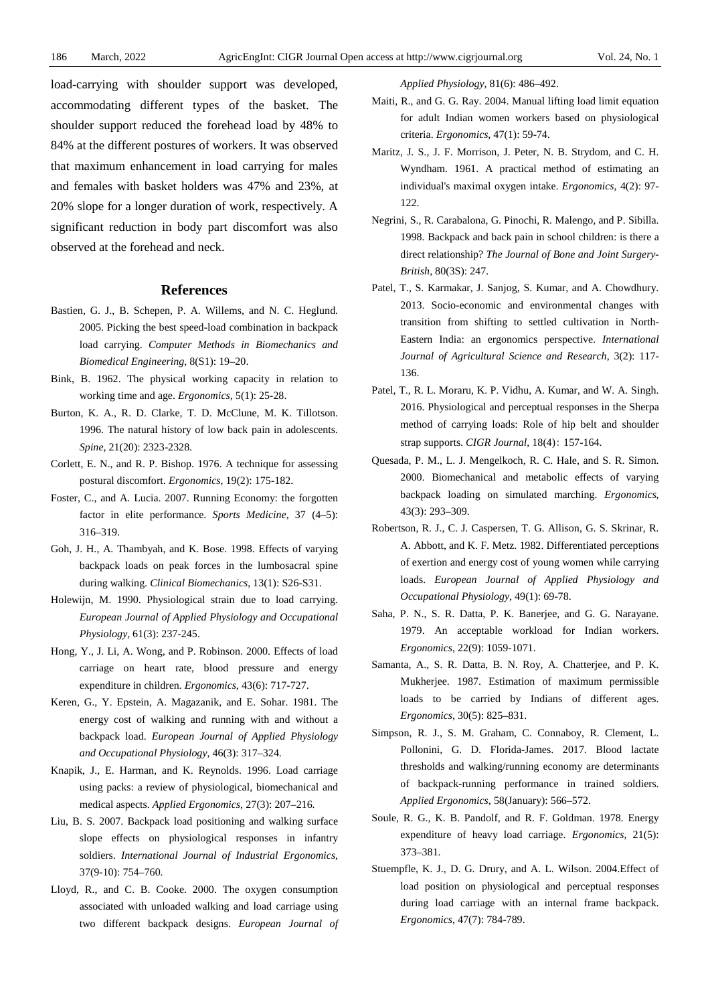load-carrying with shoulder support was developed, accommodating different types of the basket. The shoulder support reduced the forehead load by 48% to 84% at the different postures of workers. It was observed that maximum enhancement in load carrying for males and females with basket holders was 47% and 23%, at 20% slope for a longer duration of work, respectively. A significant reduction in body part discomfort was also observed at the forehead and neck.

## **References**

- Bastien, G. J., B. Schepen, P. A. Willems, and N. C. Heglund. 2005. Picking the best speed-load combination in backpack load carrying. *Computer Methods in Biomechanics and Biomedical Engineering*, 8(S1): 19–20.
- Bink, B. 1962. The physical working capacity in relation to working time and age. *Ergonomics*, 5(1): 25-28.
- Burton, K. A., R. D. Clarke, T. D. McClune, M. K. Tillotson. 1996. The natural history of low back pain in adolescents. *Spine*, 21(20): 2323-2328.
- Corlett, E. N., and R. P. Bishop. 1976. A technique for assessing postural discomfort. *Ergonomics*, 19(2): 175-182.
- Foster, C., and A. Lucia. 2007. Running Economy: the forgotten factor in elite performance. *Sports Medicine*, 37 (4–5): 316–319.
- Goh, J. H., A. Thambyah, and K. Bose. 1998. Effects of varying backpack loads on peak forces in the lumbosacral spine during walking. *Clinical Biomechanics*, 13(1): S26-S31.
- Holewijn, M. 1990. Physiological strain due to load carrying. *European Journal of Applied Physiology and Occupational Physiology*, 61(3): 237-245.
- Hong, Y., J. Li, A. Wong, and P. Robinson. 2000. Effects of load carriage on heart rate, blood pressure and energy expenditure in children. *Ergonomics*, 43(6): 717-727.
- Keren, G., Y. Epstein, A. Magazanik, and E. Sohar. 1981. The energy cost of walking and running with and without a backpack load. *European Journal of Applied Physiology and Occupational Physiology*, 46(3): 317–324.
- Knapik, J., E. Harman, and K. Reynolds. 1996. Load carriage using packs: a review of physiological, biomechanical and medical aspects. *Applied Ergonomics*, 27(3): 207–216.
- Liu, B. S. 2007. Backpack load positioning and walking surface slope effects on physiological responses in infantry soldiers. *International Journal of Industrial Ergonomics*, 37(9-10): 754–760.
- Lloyd, R., and C. B. Cooke. 2000. The oxygen consumption associated with unloaded walking and load carriage using two different backpack designs. *European Journal of*

*Applied Physiology*, 81(6): 486–492.

- Maiti, R., and G. G. Ray. 2004. Manual lifting load limit equation for adult Indian women workers based on physiological criteria. *Ergonomics*, 47(1): 59-74.
- Maritz, J. S., J. F. Morrison, J. Peter, N. B. Strydom, and C. H. Wyndham. 1961. A practical method of estimating an individual's maximal oxygen intake. *Ergonomics*, 4(2): 97- 122.
- Negrini, S., R. Carabalona, G. Pinochi, R. Malengo, and P. Sibilla. 1998. Backpack and back pain in school children: is there a direct relationship? *The Journal of Bone and Joint Surgery-British*, 80(3S): 247.
- Patel, T., S. Karmakar, J. Sanjog, S. Kumar, and A. Chowdhury. 2013. Socio-economic and environmental changes with transition from shifting to settled cultivation in North-Eastern India: an ergonomics perspective. *International Journal of Agricultural Science and Research*, 3(2): 117- 136.
- Patel, T., R. L. Moraru, K. P. Vidhu, A. Kumar, and W. A. Singh. 2016. Physiological and perceptual responses in the Sherpa method of carrying loads: Role of hip belt and shoulder strap supports. *CIGR Journal*, 18(4): 157-164.
- Quesada, P. M., L. J. Mengelkoch, R. C. Hale, and S. R. Simon. 2000. Biomechanical and metabolic effects of varying backpack loading on simulated marching. *Ergonomics*, 43(3): 293–309.
- Robertson, R. J., C. J. Caspersen, T. G. Allison, G. S. Skrinar, R. A. Abbott, and K. F. Metz. 1982. Differentiated perceptions of exertion and energy cost of young women while carrying loads. *European Journal of Applied Physiology and Occupational Physiology*, 49(1): 69-78.
- Saha, P. N., S. R. Datta, P. K. Banerjee, and G. G. Narayane. 1979. An acceptable workload for Indian workers. *Ergonomics*, 22(9): 1059-1071.
- Samanta, A., S. R. Datta, B. N. Roy, A. Chatterjee, and P. K. Mukherjee. 1987. Estimation of maximum permissible loads to be carried by Indians of different ages. *Ergonomics*, 30(5): 825–831.
- Simpson, R. J., S. M. Graham, C. Connaboy, R. Clement, L. Pollonini, G. D. Florida-James. 2017. Blood lactate thresholds and walking/running economy are determinants of backpack-running performance in trained soldiers. *Applied Ergonomics*, 58(January): 566–572.
- Soule, R. G., K. B. Pandolf, and R. F. Goldman. 1978. Energy expenditure of heavy load carriage. *Ergonomics*, 21(5): 373–381.
- Stuempfle, K. J., D. G. Drury, and A. L. Wilson. 2004.Effect of load position on physiological and perceptual responses during load carriage with an internal frame backpack. *Ergonomics*, 47(7): 784-789.